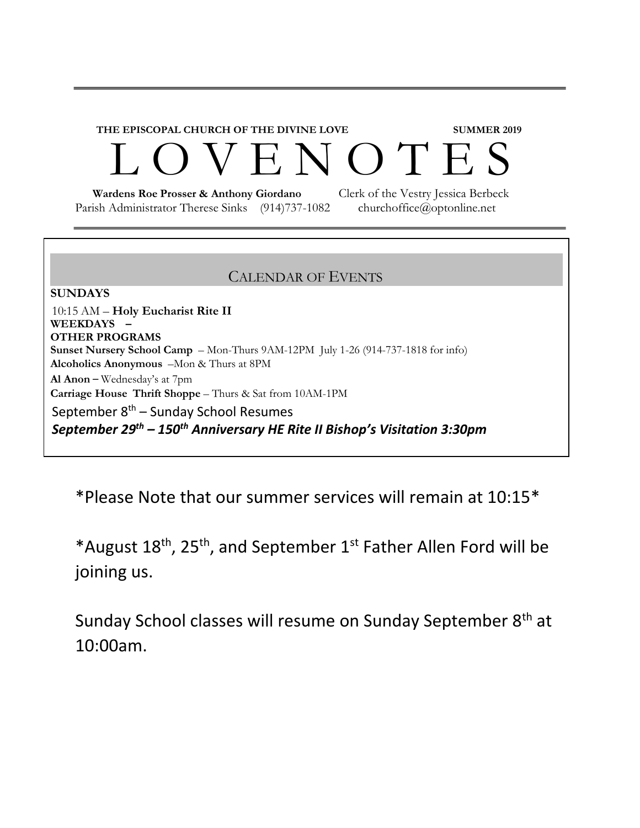## **THE EPISCOPAL CHURCH OF THE DIVINE LOVE SUMMER 2019**  ENOTES

 **Wardens Roe Prosser & Anthony Giordano** Clerk of the Vestry Jessica Berbeck Parish Administrator Therese Sinks (914)737-1082 churchoffice@optonline.net

## CALENDAR OF EVENTS

**SUNDAYS**  10:15 AM – **Holy Eucharist Rite II WEEKDAYS – OTHER PROGRAMS Sunset Nursery School Camp** – Mon-Thurs 9AM-12PM July 1-26 (914-737-1818 for info) **Alcoholics Anonymous** –Mon & Thurs at 8PM **Al Anon** – Wednesday's at 7pm **Carriage House Thrift Shoppe** – Thurs & Sat from 10AM-1PM September  $8<sup>th</sup>$  – Sunday School Resumes *September 29th – 150th Anniversary HE Rite II Bishop's Visitation 3:30pm* 

\*Please Note that our summer services will remain at 10:15\*

\*August 18th, 25th, and September 1st Father Allen Ford will be joining us.

Sunday School classes will resume on Sunday September 8<sup>th</sup> at 10:00am.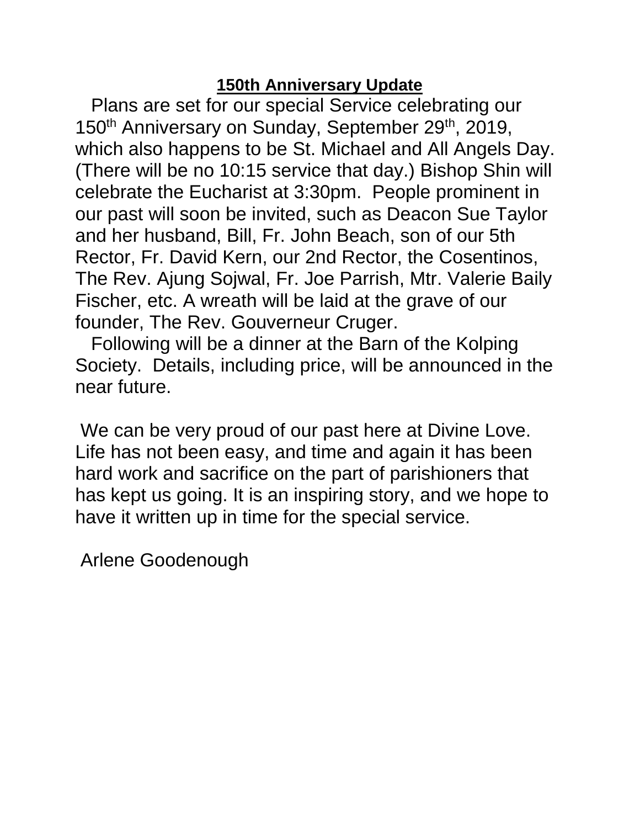## **150th Anniversary Update**

Plans are set for our special Service celebrating our 150<sup>th</sup> Anniversary on Sunday, September 29<sup>th</sup>, 2019, which also happens to be St. Michael and All Angels Day. (There will be no 10:15 service that day.) Bishop Shin will celebrate the Eucharist at 3:30pm. People prominent in our past will soon be invited, such as Deacon Sue Taylor and her husband, Bill, Fr. John Beach, son of our 5th Rector, Fr. David Kern, our 2nd Rector, the Cosentinos, The Rev. Ajung Sojwal, Fr. Joe Parrish, Mtr. Valerie Baily Fischer, etc. A wreath will be laid at the grave of our founder, The Rev. Gouverneur Cruger.

Following will be a dinner at the Barn of the Kolping Society. Details, including price, will be announced in the near future.

We can be very proud of our past here at Divine Love. Life has not been easy, and time and again it has been hard work and sacrifice on the part of parishioners that has kept us going. It is an inspiring story, and we hope to have it written up in time for the special service.

Arlene Goodenough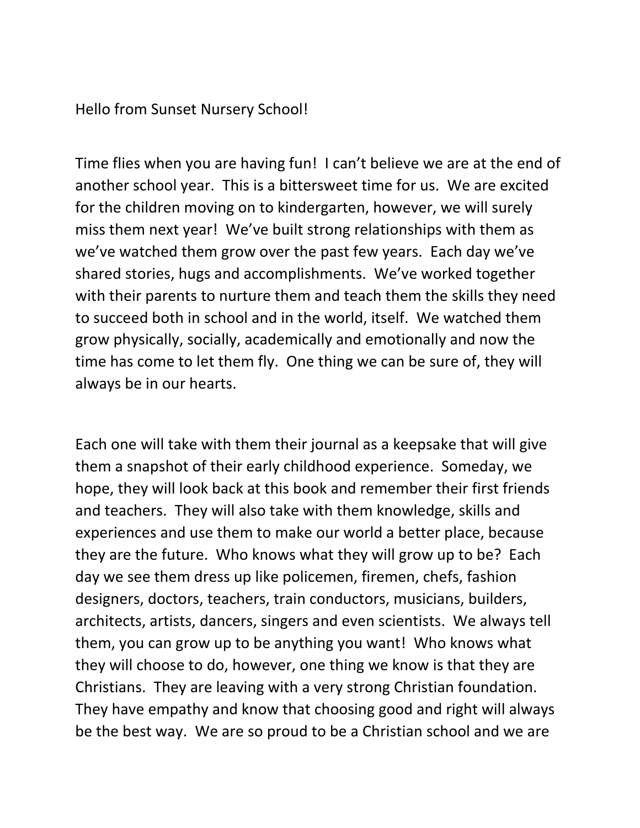Hello from Sunset Nursery School!

Time flies when you are having fun! I can't believe we are at the end of another school year. This is a bittersweet time for us. We are excited for the children moving on to kindergarten, however, we will surely miss them next year! We've built strong relationships with them as we've watched them grow over the past few years. Each day we've shared stories, hugs and accomplishments. We've worked together with their parents to nurture them and teach them the skills they need to succeed both in school and in the world, itself. We watched them grow physically, socially, academically and emotionally and now the time has come to let them fly. One thing we can be sure of, they will always be in our hearts.

Each one will take with them their journal as a keepsake that will give them a snapshot of their early childhood experience. Someday, we hope, they will look back at this book and remember their first friends and teachers. They will also take with them knowledge, skills and experiences and use them to make our world a better place, because they are the future. Who knows what they will grow up to be? Each day we see them dress up like policemen, firemen, chefs, fashion designers, doctors, teachers, train conductors, musicians, builders, architects, artists, dancers, singers and even scientists. We always tell them, you can grow up to be anything you want! Who knows what they will choose to do, however, one thing we know is that they are Christians. They are leaving with a very strong Christian foundation. They have empathy and know that choosing good and right will always be the best way. We are so proud to be a Christian school and we are